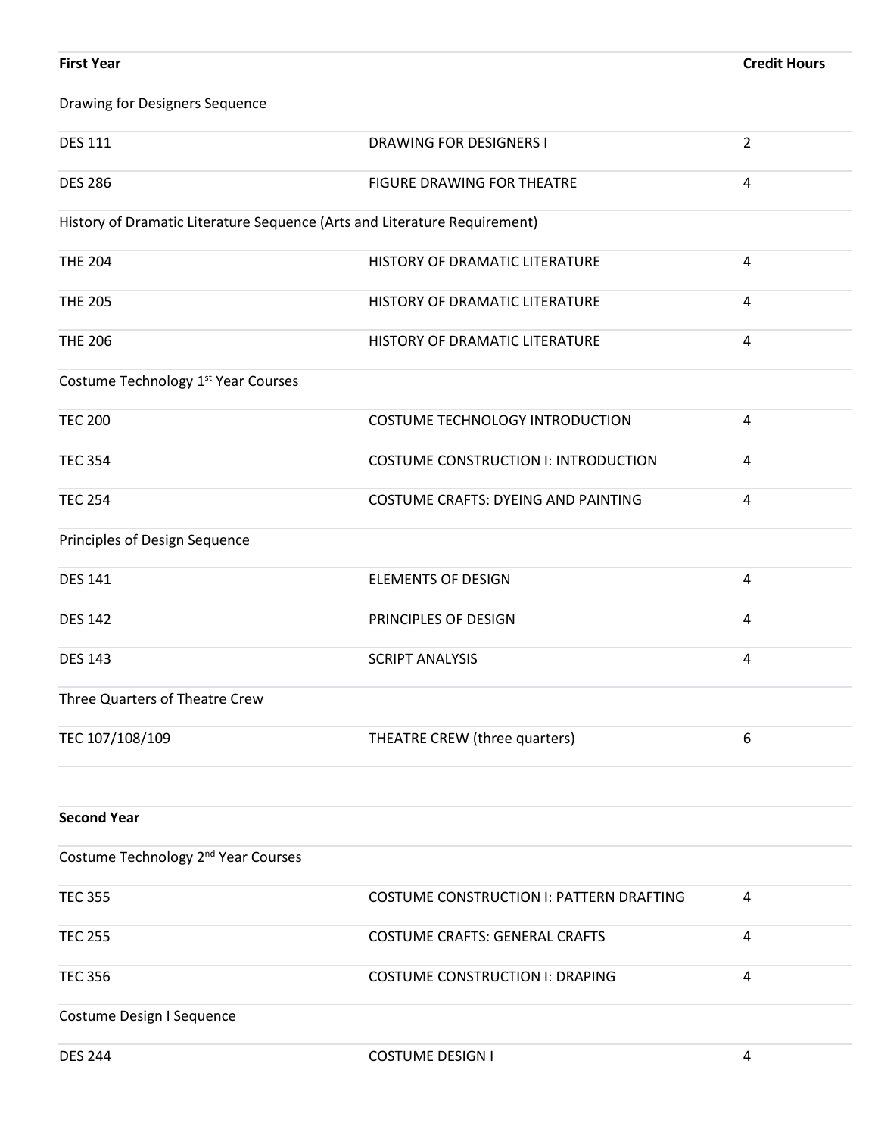| <b>First Year</b>                                                         |                                             | <b>Credit Hours</b>     |
|---------------------------------------------------------------------------|---------------------------------------------|-------------------------|
| <b>Drawing for Designers Sequence</b>                                     |                                             |                         |
| <b>DES 111</b>                                                            | <b>DRAWING FOR DESIGNERS I</b>              | $\overline{2}$          |
| <b>DES 286</b>                                                            | FIGURE DRAWING FOR THEATRE                  | 4                       |
| History of Dramatic Literature Sequence (Arts and Literature Requirement) |                                             |                         |
| <b>THE 204</b>                                                            | HISTORY OF DRAMATIC LITERATURE              | $\overline{4}$          |
| <b>THE 205</b>                                                            | HISTORY OF DRAMATIC LITERATURE              | 4                       |
| <b>THE 206</b>                                                            | HISTORY OF DRAMATIC LITERATURE              | 4                       |
| Costume Technology 1 <sup>st</sup> Year Courses                           |                                             |                         |
| <b>TEC 200</b>                                                            | COSTUME TECHNOLOGY INTRODUCTION             | $\overline{4}$          |
| <b>TEC 354</b>                                                            | <b>COSTUME CONSTRUCTION I: INTRODUCTION</b> | $\overline{4}$          |
| <b>TEC 254</b>                                                            | COSTUME CRAFTS: DYEING AND PAINTING         | 4                       |
| Principles of Design Sequence                                             |                                             |                         |
| <b>DES 141</b>                                                            | <b>ELEMENTS OF DESIGN</b>                   | $\overline{\mathbf{4}}$ |
| <b>DES 142</b>                                                            | PRINCIPLES OF DESIGN                        | $\overline{4}$          |
| <b>DES 143</b>                                                            | <b>SCRIPT ANALYSIS</b>                      | 4                       |
| Three Quarters of Theatre Crew                                            |                                             |                         |
| TEC 107/108/109                                                           | THEATRE CREW (three quarters)               | 6                       |
|                                                                           |                                             |                         |
| <b>Second Year</b>                                                        |                                             |                         |
| Costume Technology 2 <sup>nd</sup> Year Courses                           |                                             |                         |
| <b>TEC 355</b>                                                            | COSTUME CONSTRUCTION I: PATTERN DRAFTING    | 4                       |
| <b>TEC 255</b>                                                            | <b>COSTUME CRAFTS: GENERAL CRAFTS</b>       | $\overline{4}$          |
| <b>TEC 356</b>                                                            | <b>COSTUME CONSTRUCTION I: DRAPING</b>      | 4                       |
| Costume Design I Sequence                                                 |                                             |                         |
| <b>DES 244</b>                                                            | <b>COSTUME DESIGN I</b>                     | 4                       |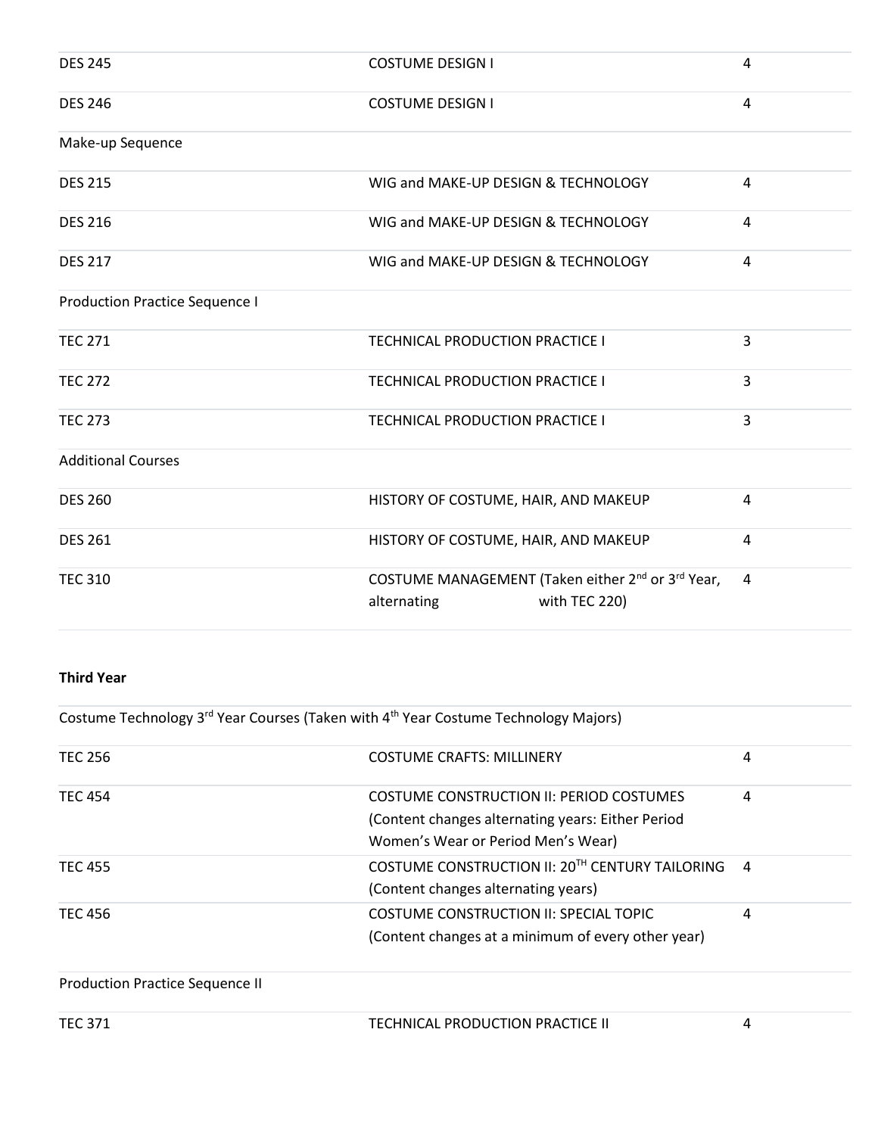| <b>DES 245</b>                        | <b>COSTUME DESIGN I</b>                                                                                   | 4                       |
|---------------------------------------|-----------------------------------------------------------------------------------------------------------|-------------------------|
| <b>DES 246</b>                        | <b>COSTUME DESIGN I</b>                                                                                   | $\overline{\mathbf{4}}$ |
| Make-up Sequence                      |                                                                                                           |                         |
| <b>DES 215</b>                        | WIG and MAKE-UP DESIGN & TECHNOLOGY                                                                       | 4                       |
| <b>DES 216</b>                        | WIG and MAKE-UP DESIGN & TECHNOLOGY                                                                       | $\overline{4}$          |
| <b>DES 217</b>                        | WIG and MAKE-UP DESIGN & TECHNOLOGY                                                                       | $\overline{4}$          |
| <b>Production Practice Sequence I</b> |                                                                                                           |                         |
| <b>TEC 271</b>                        | TECHNICAL PRODUCTION PRACTICE I                                                                           | 3                       |
| <b>TEC 272</b>                        | TECHNICAL PRODUCTION PRACTICE I                                                                           | 3                       |
| <b>TEC 273</b>                        | TECHNICAL PRODUCTION PRACTICE I                                                                           | 3                       |
| <b>Additional Courses</b>             |                                                                                                           |                         |
| <b>DES 260</b>                        | HISTORY OF COSTUME, HAIR, AND MAKEUP                                                                      | $\overline{4}$          |
| <b>DES 261</b>                        | HISTORY OF COSTUME, HAIR, AND MAKEUP                                                                      | $\overline{4}$          |
| <b>TEC 310</b>                        | COSTUME MANAGEMENT (Taken either 2 <sup>nd</sup> or 3 <sup>rd</sup> Year,<br>with TEC 220)<br>alternating | $\overline{4}$          |

## **Third Year**

Costume Technology 3<sup>rd</sup> Year Courses (Taken with 4<sup>th</sup> Year Costume Technology Majors)

| <b>TEC 256</b>                         | <b>COSTUME CRAFTS: MILLINERY</b>                                                                                                    | 4              |
|----------------------------------------|-------------------------------------------------------------------------------------------------------------------------------------|----------------|
| <b>TEC 454</b>                         | COSTUME CONSTRUCTION II: PERIOD COSTUMES<br>(Content changes alternating years: Either Period<br>Women's Wear or Period Men's Wear) | 4              |
| <b>TEC 455</b>                         | COSTUME CONSTRUCTION II: 20TH CENTURY TAILORING<br>(Content changes alternating years)                                              | $\overline{a}$ |
| <b>TEC 456</b>                         | COSTUME CONSTRUCTION II: SPECIAL TOPIC<br>(Content changes at a minimum of every other year)                                        | 4              |
| <b>Production Practice Sequence II</b> |                                                                                                                                     |                |

| TECHNICAL PRODUCTION PRACTICE II<br><b>TEC 371</b> |
|----------------------------------------------------|
|----------------------------------------------------|